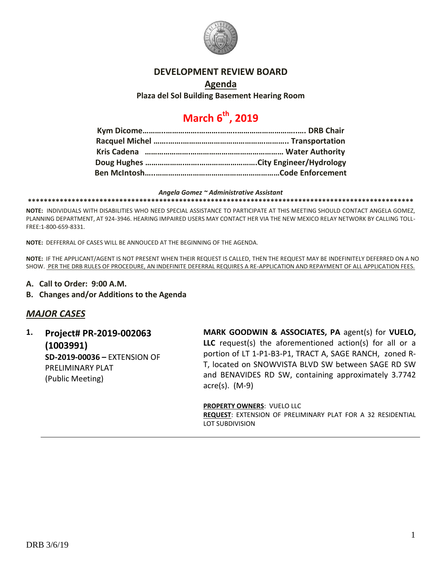

## **DEVELOPMENT REVIEW BOARD**

## **Agenda**

**Plaza del Sol Building Basement Hearing Room**

# **March 6th, 2019**

#### *Angela Gomez ~ Administrative Assistant*

**\*\*\*\*\*\*\*\*\*\*\*\*\*\*\*\*\*\*\*\*\*\*\*\*\*\*\*\*\*\*\*\*\*\*\*\*\*\*\*\*\*\*\*\*\*\*\*\*\*\*\*\*\*\*\*\*\*\*\*\*\*\*\*\*\*\*\*\*\*\*\*\*\*\*\*\*\*\*\*\*\*\*\*\*\*\*\*\*\*\*\*\*\*\*\*\*\***

**NOTE:** INDIVIDUALS WITH DISABILITIES WHO NEED SPECIAL ASSISTANCE TO PARTICIPATE AT THIS MEETING SHOULD CONTACT ANGELA GOMEZ, PLANNING DEPARTMENT, AT 924-3946. HEARING IMPAIRED USERS MAY CONTACT HER VIA THE NEW MEXICO RELAY NETWORK BY CALLING TOLL-FREE:1-800-659-8331.

**NOTE:** DEFFERRAL OF CASES WILL BE ANNOUCED AT THE BEGINNING OF THE AGENDA.

**NOTE:** IF THE APPLICANT/AGENT IS NOT PRESENT WHEN THEIR REQUEST IS CALLED, THEN THE REQUEST MAY BE INDEFINITELY DEFERRED ON A NO SHOW. PER THE DRB RULES OF PROCEDURE, AN INDEFINITE DEFERRAL REQUIRES A RE-APPLICATION AND REPAYMENT OF ALL APPLICATION FEES.

- **A. Call to Order: 9:00 A.M.**
- **B. Changes and/or Additions to the Agenda**

## *MAJOR CASES*

**1. Project# PR-2019-002063 (1003991) SD-2019-00036 –** EXTENSION OF PRELIMINARY PLAT (Public Meeting)

**MARK GOODWIN & ASSOCIATES, PA** agent(s) for **VUELO, LLC** request(s) the aforementioned action(s) for all or a portion of LT 1-P1-B3-P1, TRACT A, SAGE RANCH, zoned R-T, located on SNOWVISTA BLVD SW between SAGE RD SW and BENAVIDES RD SW, containing approximately 3.7742 acre(s). (M-9)

**PROPERTY OWNERS**: VUELO LLC **REQUEST**: EXTENSION OF PRELIMINARY PLAT FOR A 32 RESIDENTIAL LOT SUBDIVISION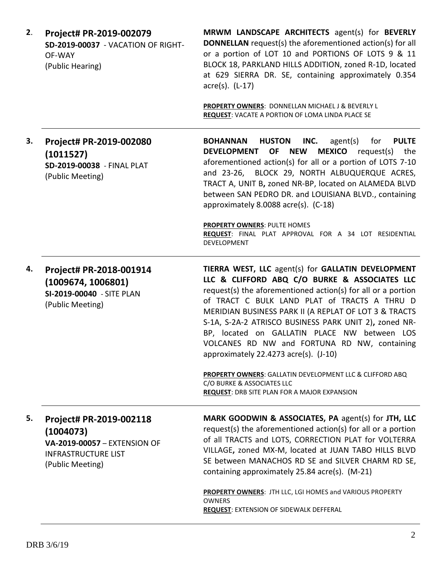| 2. | Project# PR-2019-002079<br>SD-2019-00037 - VACATION OF RIGHT-<br>OF-WAY<br>(Public Hearing)                            | MRWM LANDSCAPE ARCHITECTS agent(s) for BEVERLY<br><b>DONNELLAN</b> request(s) the aforementioned action(s) for all<br>or a portion of LOT 10 and PORTIONS OF LOTS 9 & 11<br>BLOCK 18, PARKLAND HILLS ADDITION, zoned R-1D, located<br>at 629 SIERRA DR. SE, containing approximately 0.354<br>$\arccos 0$ . (L-17)                                                                                                                                                             |
|----|------------------------------------------------------------------------------------------------------------------------|--------------------------------------------------------------------------------------------------------------------------------------------------------------------------------------------------------------------------------------------------------------------------------------------------------------------------------------------------------------------------------------------------------------------------------------------------------------------------------|
|    |                                                                                                                        | PROPERTY OWNERS: DONNELLAN MICHAEL J & BEVERLY L<br>REQUEST: VACATE A PORTION OF LOMA LINDA PLACE SE                                                                                                                                                                                                                                                                                                                                                                           |
| 3. | Project# PR-2019-002080<br>(1011527)<br>SD-2019-00038 - FINAL PLAT<br>(Public Meeting)                                 | <b>HUSTON</b><br>INC.<br><b>PULTE</b><br><b>BOHANNAN</b><br>agent(s)<br>for<br><b>MEXICO</b><br><b>DEVELOPMENT</b><br>OF<br><b>NEW</b><br>request(s)<br>the<br>aforementioned action(s) for all or a portion of LOTS 7-10<br>BLOCK 29, NORTH ALBUQUERQUE ACRES,<br>and 23-26,<br>TRACT A, UNIT B, zoned NR-BP, located on ALAMEDA BLVD<br>between SAN PEDRO DR. and LOUISIANA BLVD., containing<br>approximately 8.0088 acre(s). (C-18)                                        |
|    |                                                                                                                        | <b>PROPERTY OWNERS: PULTE HOMES</b><br>REQUEST: FINAL PLAT APPROVAL FOR A 34 LOT RESIDENTIAL<br>DEVELOPMENT                                                                                                                                                                                                                                                                                                                                                                    |
| 4. | Project# PR-2018-001914<br>(1009674, 1006801)<br>SI-2019-00040 - SITE PLAN<br>(Public Meeting)                         | TIERRA WEST, LLC agent(s) for GALLATIN DEVELOPMENT<br>LLC & CLIFFORD ABQ C/O BURKE & ASSOCIATES LLC<br>request(s) the aforementioned action(s) for all or a portion<br>of TRACT C BULK LAND PLAT of TRACTS A THRU D<br>MERIDIAN BUSINESS PARK II (A REPLAT OF LOT 3 & TRACTS<br>S-1A, S-2A-2 ATRISCO BUSINESS PARK UNIT 2), zoned NR-<br>BP, located on GALLATIN PLACE NW between LOS<br>VOLCANES RD NW and FORTUNA RD NW, containing<br>approximately 22.4273 acre(s). (J-10) |
|    |                                                                                                                        | <b>PROPERTY OWNERS: GALLATIN DEVELOPMENT LLC &amp; CLIFFORD ABQ</b><br>C/O BURKE & ASSOCIATES LLC<br><b>REQUEST: DRB SITE PLAN FOR A MAJOR EXPANSION</b>                                                                                                                                                                                                                                                                                                                       |
| 5. | Project# PR-2019-002118<br>(1004073)<br>VA-2019-00057 - EXTENSION OF<br><b>INFRASTRUCTURE LIST</b><br>(Public Meeting) | MARK GOODWIN & ASSOCIATES, PA agent(s) for JTH, LLC<br>request(s) the aforementioned action(s) for all or a portion<br>of all TRACTS and LOTS, CORRECTION PLAT for VOLTERRA<br>VILLAGE, zoned MX-M, located at JUAN TABO HILLS BLVD<br>SE between MANACHOS RD SE and SILVER CHARM RD SE,<br>containing approximately 25.84 acre(s). (M-21)<br>PROPERTY OWNERS: JTH LLC, LGI HOMES and VARIOUS PROPERTY<br><b>OWNERS</b><br><b>REQUEST: EXTENSION OF SIDEWALK DEFFERAL</b>      |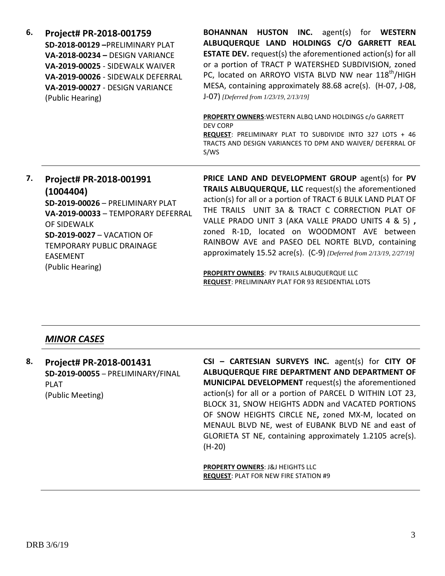| 6. | Project# PR-2018-001759<br>SD-2018-00129-PRELIMINARY PLAT<br>VA-2018-00234 - DESIGN VARIANCE<br>VA-2019-00025 - SIDEWALK WAIVER<br>VA-2019-00026 - SIDEWALK DEFERRAL<br>VA-2019-00027 - DESIGN VARIANCE<br>(Public Hearing)                   | <b>HUSTON INC.</b> agent(s) for WESTERN<br><b>BOHANNAN</b><br>ALBUQUERQUE LAND HOLDINGS C/O GARRETT REAL<br><b>ESTATE DEV.</b> request(s) the aforementioned action(s) for all<br>or a portion of TRACT P WATERSHED SUBDIVISION, zoned<br>PC, located on ARROYO VISTA BLVD NW near 118 <sup>th</sup> /HIGH<br>MESA, containing approximately 88.68 acre(s). (H-07, J-08,<br>J-07) [Deferred from 1/23/19, 2/13/19]<br><b>PROPERTY OWNERS: WESTERN ALBO LAND HOLDINGS c/o GARRETT</b><br><b>DEV CORP</b><br>REQUEST: PRELIMINARY PLAT TO SUBDIVIDE INTO 327 LOTS + 46<br>TRACTS AND DESIGN VARIANCES TO DPM AND WAIVER/ DEFERRAL OF<br>S/WS |
|----|-----------------------------------------------------------------------------------------------------------------------------------------------------------------------------------------------------------------------------------------------|--------------------------------------------------------------------------------------------------------------------------------------------------------------------------------------------------------------------------------------------------------------------------------------------------------------------------------------------------------------------------------------------------------------------------------------------------------------------------------------------------------------------------------------------------------------------------------------------------------------------------------------------|
| 7. | Project# PR-2018-001991<br>(1004404)<br>SD-2019-00026 - PRELIMINARY PLAT<br>VA-2019-00033 - TEMPORARY DEFERRAL<br>OF SIDEWALK<br><b>SD-2019-0027 - VACATION OF</b><br><b>TEMPORARY PUBLIC DRAINAGE</b><br><b>EASEMENT</b><br>(Public Hearing) | PRICE LAND AND DEVELOPMENT GROUP agent(s) for PV<br>TRAILS ALBUQUERQUE, LLC request(s) the aforementioned<br>action(s) for all or a portion of TRACT 6 BULK LAND PLAT OF<br>THE TRAILS UNIT 3A & TRACT C CORRECTION PLAT OF<br>VALLE PRADO UNIT 3 (AKA VALLE PRADO UNITS 4 & 5),<br>zoned R-1D, located on WOODMONT AVE between<br>RAINBOW AVE and PASEO DEL NORTE BLVD, containing<br>approximately 15.52 acre(s). (C-9) [Deferred from 2/13/19, 2/27/19]<br>PROPERTY OWNERS: PV TRAILS ALBUQUERQUE LLC<br><b>REQUEST: PRELIMINARY PLAT FOR 93 RESIDENTIAL LOTS</b>                                                                       |

# *MINOR CASES*

| 8.               | Project# PR-2018-001431           | CSI - CARTESIAN SURVEYS INC. agent(s) for CITY OF         |
|------------------|-----------------------------------|-----------------------------------------------------------|
|                  | SD-2019-00055 - PRELIMINARY/FINAL | ALBUQUERQUE FIRE DEPARTMENT AND DEPARTMENT OF             |
|                  | <b>PLAT</b>                       | MUNICIPAL DEVELOPMENT request(s) the aforementioned       |
| (Public Meeting) |                                   | action(s) for all or a portion of PARCEL D WITHIN LOT 23, |
|                  |                                   | BLOCK 31, SNOW HEIGHTS ADDN and VACATED PORTIONS          |
|                  |                                   | OF SNOW HEIGHTS CIRCLE NE, zoned MX-M, located on         |
|                  |                                   | MENAUL BLVD NE, west of EUBANK BLVD NE and east of        |
|                  |                                   | GLORIETA ST NE, containing approximately 1.2105 acre(s).  |
|                  |                                   | $(H-20)$                                                  |
|                  |                                   |                                                           |
|                  |                                   | <b>PROPERTY OWNERS: J&amp;J HEIGHTS LLC</b>               |

**REQUEST**: PLAT FOR NEW FIRE STATION #9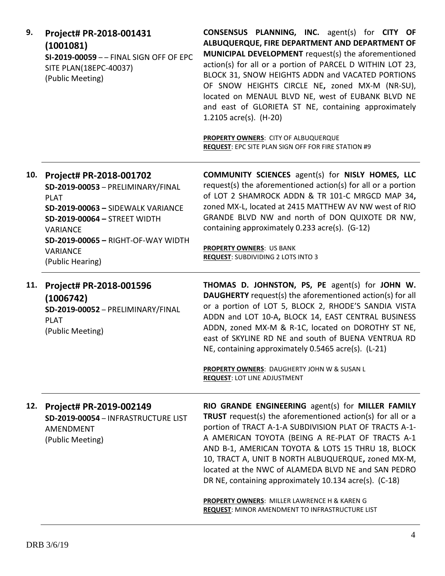| 9.  | Project# PR-2018-001431<br>(1001081)<br>SI-2019-00059 - - FINAL SIGN OFF OF EPC<br>SITE PLAN(18EPC-40037)<br>(Public Meeting)                                                                                                                    | CONSENSUS PLANNING, INC. agent(s) for CITY OF<br>ALBUQUERQUE, FIRE DEPARTMENT AND DEPARTMENT OF<br>MUNICIPAL DEVELOPMENT request(s) the aforementioned<br>action(s) for all or a portion of PARCEL D WITHIN LOT 23,<br>BLOCK 31, SNOW HEIGHTS ADDN and VACATED PORTIONS<br>OF SNOW HEIGHTS CIRCLE NE, zoned MX-M (NR-SU),<br>located on MENAUL BLVD NE, west of EUBANK BLVD NE<br>and east of GLORIETA ST NE, containing approximately<br>1.2105 acre(s). (H-20)<br>PROPERTY OWNERS: CITY OF ALBUQUERQUE<br>REQUEST: EPC SITE PLAN SIGN OFF FOR FIRE STATION #9            |
|-----|--------------------------------------------------------------------------------------------------------------------------------------------------------------------------------------------------------------------------------------------------|----------------------------------------------------------------------------------------------------------------------------------------------------------------------------------------------------------------------------------------------------------------------------------------------------------------------------------------------------------------------------------------------------------------------------------------------------------------------------------------------------------------------------------------------------------------------------|
| 10. | Project# PR-2018-001702<br>SD-2019-00053 - PRELIMINARY/FINAL<br><b>PLAT</b><br>SD-2019-00063 - SIDEWALK VARIANCE<br>SD-2019-00064 - STREET WIDTH<br><b>VARIANCE</b><br>SD-2019-00065 - RIGHT-OF-WAY WIDTH<br><b>VARIANCE</b><br>(Public Hearing) | <b>COMMUNITY SCIENCES</b> agent(s) for NISLY HOMES, LLC<br>request(s) the aforementioned action(s) for all or a portion<br>of LOT 2 SHAMROCK ADDN & TR 101-C MRGCD MAP 34,<br>zoned MX-L, located at 2415 MATTHEW AV NW west of RIO<br>GRANDE BLVD NW and north of DON QUIXOTE DR NW,<br>containing approximately 0.233 acre(s). (G-12)<br><b>PROPERTY OWNERS: US BANK</b><br><b>REQUEST: SUBDIVIDING 2 LOTS INTO 3</b>                                                                                                                                                    |
| 11. | Project# PR-2018-001596<br>(1006742)<br>SD-2019-00052 - PRELIMINARY/FINAL<br><b>PLAT</b><br>(Public Meeting)                                                                                                                                     | THOMAS D. JOHNSTON, PS, PE agent(s) for JOHN W.<br><b>DAUGHERTY</b> request(s) the aforementioned action(s) for all<br>or a portion of LOT 5, BLOCK 2, RHODE'S SANDIA VISTA<br>ADDN and LOT 10-A, BLOCK 14, EAST CENTRAL BUSINESS<br>ADDN, zoned MX-M & R-1C, located on DOROTHY ST NE,<br>east of SKYLINE RD NE and south of BUENA VENTRUA RD<br>NE, containing approximately 0.5465 acre(s). (L-21)<br>PROPERTY OWNERS: DAUGHERTY JOHN W & SUSAN L<br><b>REQUEST: LOT LINE ADJUSTMENT</b>                                                                                |
| 12. | Project# PR-2019-002149<br>SD-2019-00054 - INFRASTRUCTURE LIST<br>AMENDMENT<br>(Public Meeting)                                                                                                                                                  | RIO GRANDE ENGINEERING agent(s) for MILLER FAMILY<br><b>TRUST</b> request(s) the aforementioned action(s) for all or a<br>portion of TRACT A-1-A SUBDIVISION PLAT OF TRACTS A-1-<br>A AMERICAN TOYOTA (BEING A RE-PLAT OF TRACTS A-1<br>AND B-1, AMERICAN TOYOTA & LOTS 15 THRU 18, BLOCK<br>10, TRACT A, UNIT B NORTH ALBUQUERQUE, zoned MX-M,<br>located at the NWC of ALAMEDA BLVD NE and SAN PEDRO<br>DR NE, containing approximately 10.134 acre(s). (C-18)<br>PROPERTY OWNERS: MILLER LAWRENCE H & KAREN G<br><b>REQUEST: MINOR AMENDMENT TO INFRASTRUCTURE LIST</b> |